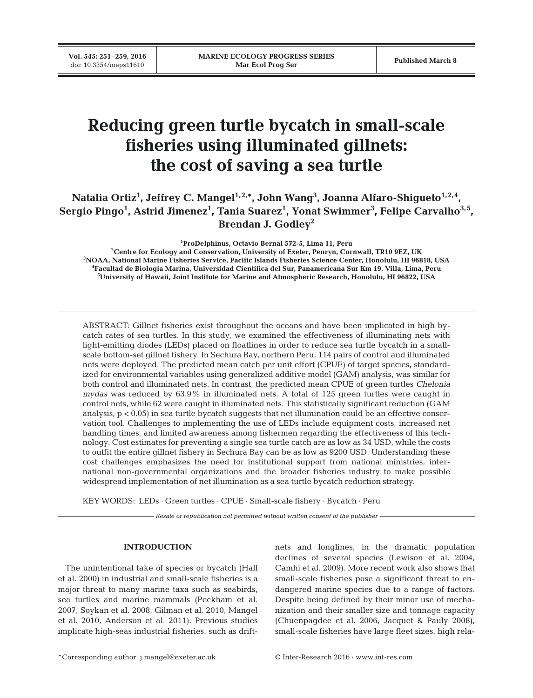# **Reducing green turtle bycatch in small-scale fisheries using illuminated gillnets: the cost of saving a sea turtle**

Natalia Ortiz<sup>1</sup>, Jeffrey C. Mangel<sup>1,2,</sup>\*, John Wang<sup>3</sup>, Joanna Alfaro-Shigueto<sup>1,2,4</sup>, **Sergio Pingo1 , Astrid Jimenez1 , Tania Suarez1 , Yonat Swimmer3 , Felipe Carvalho3,5, Brendan J. Godley2**

**1 ProDelphinus, Octavio Bernal 572-5, Lima 11, Peru**

 **Centre for Ecology and Conservation, University of Exeter, Penryn, Cornwall, TR10 9EZ, UK NOAA, National Marine Fisheries Service, Pacific Islands Fisheries Science Center, Honolulu, HI 96818, USA Facultad de Biologia Marina, Universidad Cientifica del Sur, Panamericana Sur Km 19, Villa, Lima, Peru University of Hawaii, Joint Institute for Marine and Atmospheric Research, Honolulu, HI 96822, USA**

ABSTRACT: Gillnet fisheries exist throughout the oceans and have been implicated in high by catch rates of sea turtles. In this study, we examined the effectiveness of illuminating nets with light-emitting diodes (LEDs) placed on floatlines in order to reduce sea turtle bycatch in a smallscale bottom-set gillnet fishery. In Sechura Bay, northern Peru, 114 pairs of control and illuminated nets were deployed. The predicted mean catch per unit effort (CPUE) of target species, standardized for environmental variables using generalized additive model (GAM) analysis, was similar for both control and illuminated nets. In contrast, the predicted mean CPUE of green turtles *Chelonia mydas* was reduced by 63.9% in illuminated nets. A total of 125 green turtles were caught in control nets, while 62 were caught in illuminated nets. This statistically significant reduction (GAM analysis,  $p < 0.05$ ) in sea turtle by catch suggests that net illumination could be an effective conservation tool. Challenges to implementing the use of LEDs include equipment costs, increased net handling times, and limited awareness among fishermen regarding the effectiveness of this technology. Cost estimates for preventing a single sea turtle catch are as low as 34 USD, while the costs to outfit the entire gillnet fishery in Sechura Bay can be as low as 9200 USD. Understanding these cost challenges emphasizes the need for institutional support from national ministries, international non-governmental organizations and the broader fisheries industry to make possible widespread implementation of net illumination as a sea turtle bycatch reduction strategy.

KEY WORDS: LEDs · Green turtles · CPUE · Small-scale fishery · Bycatch · Peru

*Resale or republication not permitted without written consent of the publisher*

# **INTRODUCTION**

The unintentional take of species or bycatch (Hall et al. 2000) in industrial and small-scale fisheries is a major threat to many marine taxa such as seabirds, sea turtles and marine mammals (Peckham et al. 2007, Soykan et al. 2008, Gilman et al. 2010, Mangel et al. 2010, Anderson et al. 2011). Previous studies implicate high-seas industrial fisheries, such as driftnets and longlines, in the dramatic population declines of several species (Lewison et al. 2004, Camhi et al. 2009). More recent work also shows that small-scale fisheries pose a significant threat to endangered marine species due to a range of factors. Despite being defined by their minor use of mechanization and their smaller size and tonnage capacity (Chuenpagdee et al. 2006, Jacquet & Pauly 2008), small-scale fisheries have large fleet sizes, high rela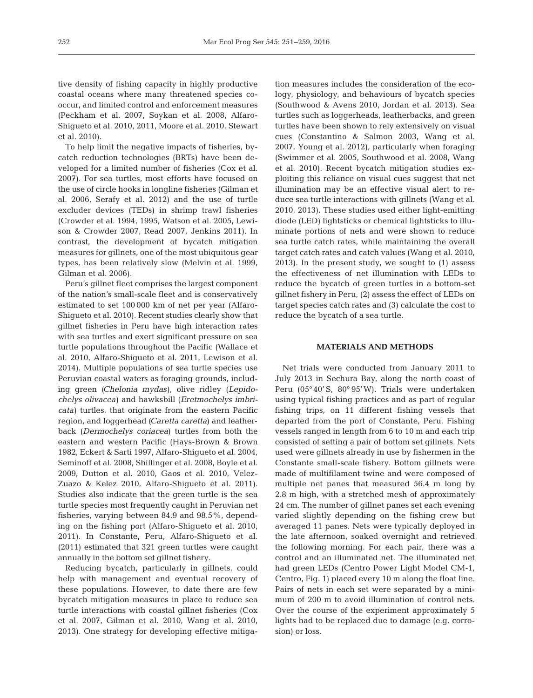tive density of fishing capacity in highly productive coastal oceans where many threatened species cooccur, and limited control and enforcement measures (Peckham et al. 2007, Soykan et al. 2008, Alfaro-Shigueto et al. 2010, 2011, Moore et al. 2010, Stewart et al. 2010).

To help limit the negative impacts of fisheries, by catch reduction technologies (BRTs) have been de veloped for a limited number of fisheries (Cox et al. 2007). For sea turtles, most efforts have focused on the use of circle hooks in longline fisheries (Gilman et al. 2006, Serafy et al. 2012) and the use of turtle excluder devices (TEDs) in shrimp trawl fisheries (Crowder et al. 1994, 1995, Watson et al. 2005, Lewison & Crowder 2007, Read 2007, Jenkins 2011). In contrast, the development of bycatch mitigation measures for gillnets, one of the most ubiquitous gear types, has been relatively slow (Melvin et al. 1999, Gilman et al. 2006).

Peru's gillnet fleet comprises the largest component of the nation's small-scale fleet and is conservatively estimated to set 100 000 km of net per year (Alfaro-Shigueto et al. 2010). Recent studies clearly show that gillnet fisheries in Peru have high interaction rates with sea turtles and exert significant pressure on sea turtle populations throughout the Pacific (Wallace et al. 2010, Alfaro-Shigueto et al. 2011, Lewison et al. 2014). Multiple populations of sea turtle species use Peruvian coastal waters as foraging grounds, including green *(Chelonia mydas*), olive ridley (*Lepido chelys olivacea*) and hawksbill (*Eretmochelys imbricata*) turtles, that originate from the eastern Pacific region, and loggerhead *(Caretta caretta*) and leatherback (*Dermochelys coriacea*) turtles from both the eastern and western Pacific (Hays-Brown & Brown 1982, Eckert & Sarti 1997, Alfaro-Shigueto et al. 2004, Seminoff et al. 2008, Shillinger et al. 2008, Boyle et al. 2009, Dutton et al. 2010, Gaos et al. 2010, Velez-Zuazo & Kelez 2010, Alfaro-Shigueto et al. 2011). Studies also indicate that the green turtle is the sea turtle species most frequently caught in Peruvian net fisheries, varying between 84.9 and 98.5%, depending on the fishing port (Alfaro-Shigueto et al. 2010, 2011). In Constante, Peru, Alfaro-Shigueto et al. (2011) estimated that 321 green turtles were caught annually in the bottom set gillnet fishery.

Reducing bycatch, particularly in gillnets, could help with management and eventual recovery of these populations. However, to date there are few bycatch mitigation measures in place to reduce sea turtle interactions with coastal gillnet fisheries (Cox et al. 2007, Gilman et al. 2010, Wang et al. 2010, 2013). One strategy for developing effective mitigation measures includes the consideration of the ecology, physiology, and behaviours of bycatch species (Southwood & Avens 2010, Jordan et al. 2013). Sea turtles such as loggerheads, leatherbacks, and green turtles have been shown to rely extensively on visual cues (Constantino & Salmon 2003, Wang et al. 2007, Young et al. 2012), particularly when foraging (Swim mer et al. 2005, Southwood et al. 2008, Wang et al. 2010). Recent bycatch mitigation studies exploiting this reliance on visual cues suggest that net illumination may be an effective visual alert to reduce sea turtle interactions with gillnets (Wang et al. 2010, 2013). These studies used either light-emitting diode (LED) lightsticks or chemical lightsticks to illuminate portions of nets and were shown to reduce sea turtle catch rates, while maintaining the overall target catch rates and catch values (Wang et al. 2010, 2013). In the present study, we sought to (1) assess the effectiveness of net illumination with LEDs to reduce the bycatch of green turtles in a bottom-set gillnet fishery in Peru, (2) assess the effect of LEDs on target species catch rates and (3) calculate the cost to reduce the bycatch of a sea turtle.

#### **MATERIALS AND METHODS**

Net trials were conducted from January 2011 to July 2013 in Sechura Bay, along the north coast of Peru (05°40' S, 80° 95'W). Trials were undertaken using typical fishing practices and as part of regular fishing trips, on 11 different fishing vessels that departed from the port of Constante, Peru. Fishing vessels ranged in length from 6 to 10 m and each trip consisted of setting a pair of bottom set gillnets. Nets used were gillnets already in use by fishermen in the Constante small-scale fishery. Bottom gillnets were made of multifilament twine and were composed of multiple net panes that measured 56.4 m long by 2.8 m high, with a stretched mesh of approximately 24 cm. The number of gillnet panes set each evening varied slightly depending on the fishing crew but averaged 11 panes. Nets were typically deployed in the late afternoon, soaked overnight and retrieved the following morning. For each pair, there was a control and an illuminated net. The illuminated net had green LEDs (Centro Power Light Model CM-1, Centro, Fig. 1) placed every 10 m along the float line. Pairs of nets in each set were separated by a minimum of 200 m to avoid illumination of control nets. Over the course of the experiment approximately 5 lights had to be replaced due to damage (e.g. corrosion) or loss.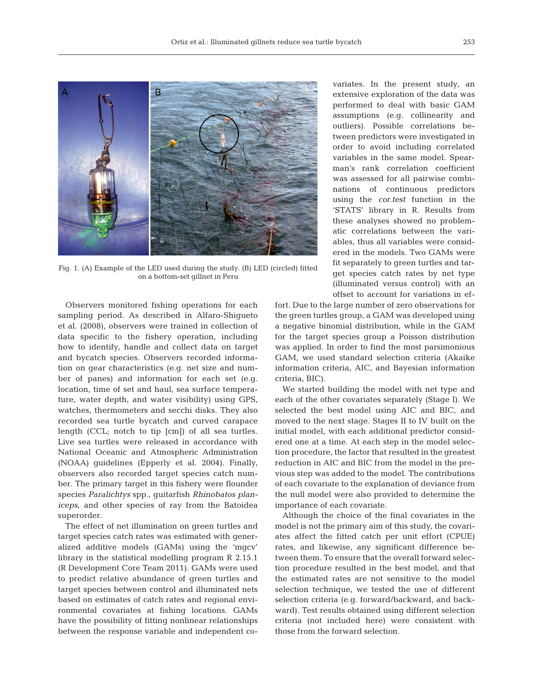

Fig. 1. (A) Example of the LED used during the study. (B) LED (circled) fitted on a bottom-set gillnet in Peru

Observers monitored fishing operations for each sampling period. As described in Alfaro-Shigueto et al. (2008), observers were trained in collection of data specific to the fishery operation, including how to identify, handle and collect data on target and by catch species. Observers recorded information on gear characteristics (e.g. net size and number of panes) and information for each set (e.g. location, time of set and haul, sea surface temperature, water depth, and water visibility) using GPS, watches, thermometers and secchi disks. They also recorded sea turtle bycatch and curved carapace length (CCL; notch to tip [cm]) of all sea turtles. Live sea turtles were released in accordance with National Oceanic and Atmospheric Administration (NOAA) guidelines (Epperly et al. 2004). Finally, ob servers also recorded target species catch number. The primary target in this fishery were flounder species *Para lichtys* spp., guitarfish *Rhinobatos planiceps*, and other species of ray from the Batoidea superorder.

The effect of net illumination on green turtles and target species catch rates was estimated with generalized additive models (GAMs) using the 'mgcv' library in the statistical modelling program R 2.15.1 (R Development Core Team 2011). GAMs were used to predict relative abundance of green turtles and target species between control and illuminated nets based on estimates of catch rates and regional environmental covariates at fishing locations. GAMs have the possibility of fitting nonlinear relationships between the response variable and independent covariates. In the present study, an extensive exploration of the data was performed to deal with basic GAM assumptions (e.g. collinearity and outliers). Possible correlations be tween predictors were investigated in order to avoid including correlated variables in the same model. Spearman's rank correlation coefficient was assessed for all pairwise combinations of continuous predictors using the *cor.test* function in the 'STATS' library in R. Results from these analyses showed no problematic correlations between the variables, thus all variables were considered in the models. Two GAMs were fit separately to green turtles and target species catch rates by net type (illuminated versus control) with an offset to account for variations in ef -

fort. Due to the large number of zero observations for the green turtles group, a GAM was developed using a negative binomial distribution, while in the GAM for the target species group a Poisson distribution was applied. In order to find the most parsimonious GAM, we used standard selection criteria (Akaike information criteria, AIC, and Bayesian information criteria, BIC).

We started building the model with net type and each of the other covariates separately (Stage I). We selected the best model using AIC and BIC, and moved to the next stage. Stages II to IV built on the initial model, with each additional predictor considered one at a time. At each step in the model selection procedure, the factor that resulted in the greatest reduction in AIC and BIC from the model in the previous step was added to the model. The contributions of each covariate to the explanation of deviance from the null model were also provided to determine the importance of each covariate.

Although the choice of the final covariates in the model is not the primary aim of this study, the covariates affect the fitted catch per unit effort (CPUE) rates, and likewise, any significant difference be tween them. To ensure that the overall forward selection procedure resulted in the best model, and that the estimated rates are not sensitive to the model selection technique, we tested the use of different selection criteria (e.g. forward/backward, and backward). Test results obtained using different selection criteria (not included here) were consistent with those from the forward selection.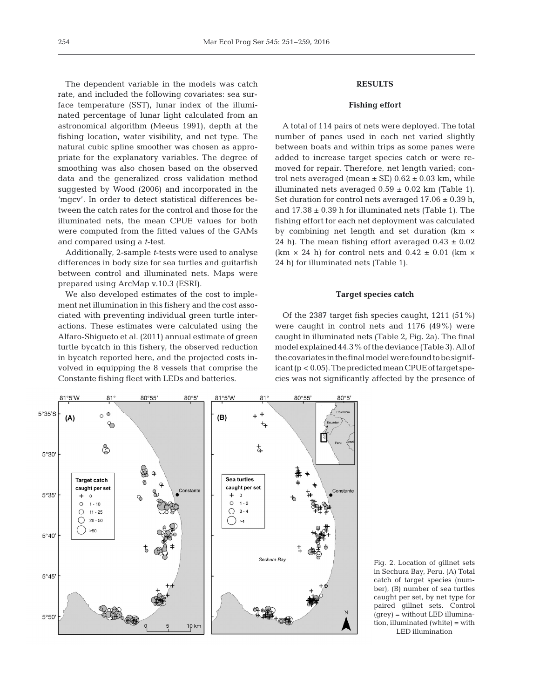The dependent variable in the models was catch rate, and included the following covariates: sea surface temperature (SST), lunar index of the illuminated percentage of lunar light calculated from an astronomical algorithm (Meeus 1991), depth at the fishing location, water visibility, and net type. The natural cubic spline smoother was chosen as appropriate for the explanatory variables. The degree of smoothing was also chosen based on the observed data and the generalized cross validation method suggested by Wood (2006) and incorporated in the 'mgcv'. In order to detect statistical differences be tween the catch rates for the control and those for the illuminated nets, the mean CPUE values for both were computed from the fitted values of the GAMs and compared using a *t*-test.

Additionally, 2-sample *t*-tests were used to analyse differences in body size for sea turtles and guitarfish between control and illuminated nets. Maps were prepared using ArcMap v.10.3 (ESRI).

We also developed estimates of the cost to implement net illumination in this fishery and the cost associated with preventing individual green turtle interactions. These estimates were calculated using the Alfaro-Shigueto et al. (2011) annual estimate of green turtle bycatch in this fishery, the observed reduction in bycatch reported here, and the projected costs involved in equipping the 8 vessels that comprise the Constante fishing fleet with LEDs and batteries.

# **RESULTS**

## **Fishing effort**

A total of 114 pairs of nets were deployed. The total number of panes used in each net varied slightly between boats and within trips as some panes were added to increase target species catch or were removed for repair. Therefore, net length varied; control nets averaged (mean  $\pm$  SE) 0.62  $\pm$  0.03 km, while illuminated nets averaged  $0.59 \pm 0.02$  km (Table 1). Set duration for control nets averaged  $17.06 \pm 0.39$  h, and  $17.38 \pm 0.39$  h for illuminated nets (Table 1). The fishing effort for each net deployment was calculated by combining net length and set duration (km × 24 h). The mean fishing effort averaged  $0.43 \pm 0.02$ (km  $\times$  24 h) for control nets and 0.42  $\pm$  0.01 (km  $\times$ 24 h) for illuminated nets (Table 1).

# **Target species catch**

Of the 2387 target fish species caught, 1211 (51%) were caught in control nets and 1176 (49%) were caught in illuminated nets (Table 2, Fig. 2a). The final model explained 44.3% of the deviance (Table 3). All of thecovariatesinthefinalmodelwerefoundtobesignificant ( $p < 0.05$ ). The predicted mean CPUE of target species was not significantly affected by the presence of



Fig. 2. Location of gillnet sets in Sechura Bay, Peru. (A) Total catch of target species (number), (B) number of sea turtles caught per set, by net type for paired gillnet sets. Control (grey) = without LED illumination, illuminated (white) = with LED illumination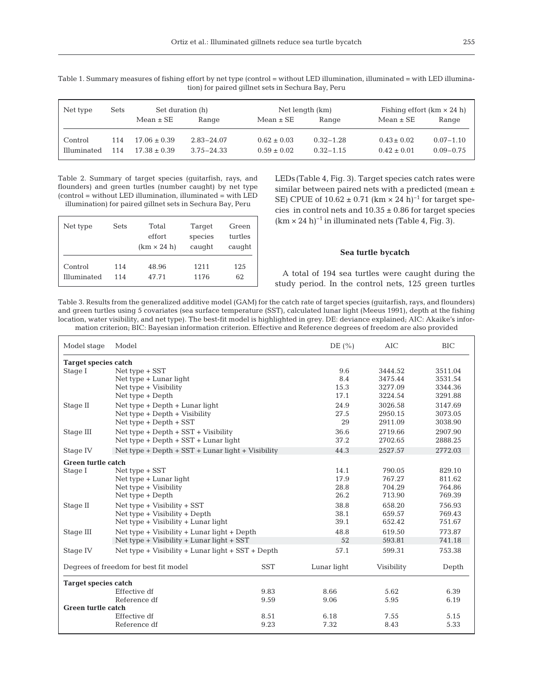| $\frac{1}{2}$ |      |                  |                |                 |               |                                   |               |
|---------------|------|------------------|----------------|-----------------|---------------|-----------------------------------|---------------|
| Net type      | Sets | Set duration (h) |                | Net length (km) |               | Fishing effort $(km \times 24 h)$ |               |
|               |      | Mean $\pm$ SE    | Range          | $Mean \pm SE$   | Range         | $Mean \pm SE$                     | Range         |
| Control       | 114  | $17.06 \pm 0.39$ | $2.83 - 24.07$ | $0.62 \pm 0.03$ | $0.32 - 1.28$ | $0.43 \pm 0.02$                   | $0.07 - 1.10$ |

 $\text{Illuminated} \quad 114 \quad 17.38 \pm 0.39 \quad 3.75 - 24.33 \quad 0.59 \pm 0.02 \quad 0.32 - 1.15 \quad 0.42 \pm 0.01 \quad 0.09 - 0.75$ 

Table 1. Summary measures of fishing effort by net type (control = without LED illumination, illuminated = with LED illumination) for paired gillnet sets in Sechura Bay, Peru

Table 2. Summary of target species (guitarfish, rays, and flounders) and green turtles (number caught) by net type (control = without LED illumination, illuminated = with LED

illumination) for paired gillnet sets in Sechura Bay, Peru

| Net type           | Sets | Total<br>effort<br>$(km \times 24 h)$ | Target<br>species<br>caught | Green<br>turtles<br>caught |
|--------------------|------|---------------------------------------|-----------------------------|----------------------------|
| Control            | 114  | 48.96                                 | 1211                        | 125                        |
| <b>Illuminated</b> | 114  | 47.71                                 | 1176                        | 62                         |

LEDs(Table 4, Fig. 3). Target species catch rates were similar between paired nets with a predicted (mean  $\pm$ SE) CPUE of  $10.62 \pm 0.71$  (km × 24 h)<sup>-1</sup> for target species in control nets and  $10.35 \pm 0.86$  for target species  $(km \times 24 h)^{-1}$  in illuminated nets (Table 4, Fig. 3).

#### **Sea turtle bycatch**

A total of 194 sea turtles were caught during the study period. In the control nets, 125 green turtles

Table 3. Results from the generalized additive model (GAM) for the catch rate of target species (guitarfish, rays, and flounders) and green turtles using 5 covariates (sea surface temperature (SST), calculated lunar light (Meeus 1991), depth at the fishing location, water visibility, and net type). The best-fit model is highlighted in grey. DE: deviance explained; AIC: Akaike's information criterion; BIC: Bayesian information criterion. Effective and Reference degrees of freedom are also provided

| Model stage                           | Model                                               |            | DE $(\% )$  | AIC        | <b>BIC</b> |  |  |
|---------------------------------------|-----------------------------------------------------|------------|-------------|------------|------------|--|--|
|                                       | <b>Target species catch</b>                         |            |             |            |            |  |  |
| Stage I                               | $Net type + SST$                                    |            | 9.6         | 3444.52    | 3511.04    |  |  |
|                                       | Net type + Lunar light                              |            | 8.4         | 3475.44    | 3531.54    |  |  |
|                                       | Net type + Visibility                               |            | 15.3        | 3277.09    | 3344.36    |  |  |
|                                       | Net type + Depth                                    |            | 17.1        | 3224.54    | 3291.88    |  |  |
| Stage II                              | Net type + Depth + Lunar light                      |            | 24.9        | 3026.58    | 3147.69    |  |  |
|                                       | Net type + Depth + Visibility                       |            | 27.5        | 2950.15    | 3073.05    |  |  |
|                                       | Net type + Depth + SST                              |            | 29          | 2911.09    | 3038.90    |  |  |
| Stage III                             | Net type + Depth + SST + Visibility                 |            | 36.6        | 2719.66    | 2907.90    |  |  |
|                                       | Net type + Depth + SST + Lunar light                |            | 37.2        | 2702.65    | 2888.25    |  |  |
| Stage IV                              | Net type + Depth + $SST$ + Lunar light + Visibility |            | 44.3        | 2527.57    | 2772.03    |  |  |
| Green turtle catch                    |                                                     |            |             |            |            |  |  |
| Stage I                               | Net type + SST                                      |            | 14.1        | 790.05     | 829.10     |  |  |
|                                       | Net type + Lunar light                              |            | 17.9        | 767.27     | 811.62     |  |  |
|                                       | Net type + Visibility                               |            | 28.8        | 704.29     | 764.86     |  |  |
|                                       | Net type + Depth                                    |            | 26.2        | 713.90     | 769.39     |  |  |
| Stage II                              | Net type + Visibility + SST                         |            | 38.8        | 658.20     | 756.93     |  |  |
|                                       | Net type + Visibility + Depth                       |            | 38.1        | 659.57     | 769.43     |  |  |
|                                       | Net type + Visibility + Lunar light                 |            | 39.1        | 652.42     | 751.67     |  |  |
| Stage III                             | Net type + Visibility + Lunar light + Depth         |            | 48.8        | 619.50     | 773.87     |  |  |
|                                       | Net type + Visibility + Lunar light + SST           |            | 52          | 593.81     | 741.18     |  |  |
| Stage IV                              | Net type + Visibility + Lunar light + SST + Depth   |            | 57.1        | 599.31     | 753.38     |  |  |
| Degrees of freedom for best fit model |                                                     | <b>SST</b> | Lunar light | Visibility | Depth      |  |  |
| <b>Target species catch</b>           |                                                     |            |             |            |            |  |  |
|                                       | Effective df                                        | 9.83       | 8.66        | 5.62       | 6.39       |  |  |
|                                       | Reference df                                        | 9.59       | 9.06        | 5.95       | 6.19       |  |  |
| <b>Green turtle catch</b>             |                                                     |            |             |            |            |  |  |
|                                       | Effective df                                        | 8.51       | 6.18        | 7.55       | 5.15       |  |  |
|                                       | Reference df                                        | 9.23       | 7.32        | 8.43       | 5.33       |  |  |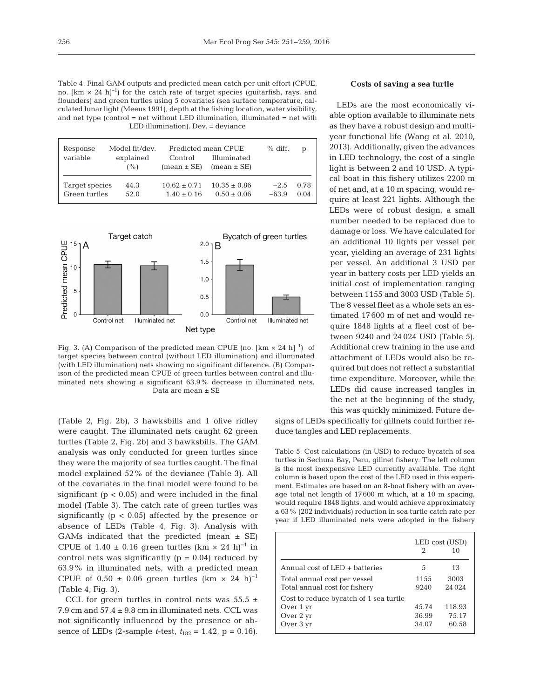Table 4. Final GAM outputs and predicted mean catch per unit effort (CPUE, no.  $[km \times 24 \text{ h}]^{-1}$  for the catch rate of target species (guitarfish, rays, and flounders) and green turtles using 5 covariates (sea surface temperature, calculated lunar light (Meeus 1991), depth at the fishing location, water visibility, and net type (control = net without LED illumination, illuminated = net with LED illumination). Dev. = deviance

| Response<br>variable | Model fit/dev.<br>explained<br>(% ) | Control<br>$mean \pm SE$ | Predicted mean CPUE<br>Illuminated<br>$mean \pm SE$ | $%$ diff. | D    |
|----------------------|-------------------------------------|--------------------------|-----------------------------------------------------|-----------|------|
| Target species       | 44.3                                | $10.62 + 0.71$           | $10.35 + 0.86$                                      | $-2.5$    | 0.78 |
| Green turtles        | 52.0                                | $1.40 \pm 0.16$          | $0.50 \pm 0.06$                                     | $-63.9$   | 0.04 |



Fig. 3. (A) Comparison of the predicted mean CPUE (no.  $[km \times 24 \text{ h}]^{-1}$ ) of target species between control (without LED illumination) and illuminated (with LED illumination) nets showing no significant difference. (B) Comparison of the predicted mean CPUE of green turtles between control and illuminated nets showing a significant 63.9% decrease in illuminated nets. Data are mean ± SE

(Table 2, Fig. 2b), 3 hawksbills and 1 olive ridley were caught. The illuminated nets caught 62 green turtles (Table 2, Fig. 2b) and 3 hawksbills. The GAM analysis was only conducted for green turtles since they were the majority of sea turtles caught. The final model explained 52% of the deviance (Table 3). All of the covariates in the final model were found to be significant ( $p < 0.05$ ) and were included in the final model (Table 3). The catch rate of green turtles was significantly ( $p < 0.05$ ) affected by the presence or absence of LEDs (Table 4, Fig. 3). Analysis with GAMs indicated that the predicted (mean  $\pm$  SE) CPUE of  $1.40 \pm 0.16$  green turtles (km × 24 h)<sup>-1</sup> in control nets was significantly  $(p = 0.04)$  reduced by 63.9% in illuminated nets, with a predicted mean CPUE of  $0.50 \pm 0.06$  green turtles (km × 24 h)<sup>-1</sup> (Table 4, Fig. 3).

CCL for green turtles in control nets was  $55.5 \pm$ 7.9 cm and 57.4 ± 9.8 cm in illuminated nets. CCL was not significantly influenced by the presence or ab sence of LEDs (2-sample *t*-test,  $t_{182} = 1.42$ ,  $p = 0.16$ ).

#### **Costs of saving a sea turtle**

LEDs are the most economically viable option available to illuminate nets as they have a robust design and multiyear functional life (Wang et al. 2010, 2013). Additionally, given the advances in LED technology, the cost of a single light is between 2 and 10 USD. A typical boat in this fishery utilizes 2200 m of net and, at a 10 m spacing, would require at least 221 lights. Although the LEDs were of robust design, a small number needed to be replaced due to damage or loss. We have calculated for an additional 10 lights per vessel per year, yielding an average of 231 lights per vessel. An additional 3 USD per year in battery costs per LED yields an initial cost of implementation ranging between 1155 and 3003 USD (Table 5). The 8 vessel fleet as a whole sets an estimated 17600 m of net and would require 1848 lights at a fleet cost of be tween 9240 and 24 024 USD (Table 5). Additional crew training in the use and attachment of LEDs would also be required but does not reflect a substantial time expenditure. Moreover, while the LEDs did cause increased tangles in the net at the beginning of the study, this was quickly minimized. Future de-

signs of LEDs specifically for gillnets could further reduce tangles and LED replacements.

Table 5. Cost calculations (in USD) to reduce bycatch of sea turtles in Sechura Bay, Peru, gillnet fishery. The left column is the most inexpensive LED currently available. The right column is based upon the cost of the LED used in this experiment. Estimates are based on an 8-boat fishery with an average total net length of 17600 m which, at a 10 m spacing, would require 1848 lights, and would achieve approximately a 63% (202 individuals) reduction in sea turtle catch rate per year if LED illuminated nets were adopted in the fishery

|                                                                                | LED cost (USD)<br>2<br>10 |                          |
|--------------------------------------------------------------------------------|---------------------------|--------------------------|
| Annual cost of $LED +$ batteries                                               | 5                         | 13                       |
| Total annual cost per vessel<br>Total annual cost for fishery                  | 1155<br>9240              | 3003<br>24 0 24          |
| Cost to reduce by catch of 1 sea turtle<br>Over 1 yr<br>Over 2 yr<br>Over 3 yr | 45.74<br>36.99<br>34.07   | 118.93<br>75.17<br>60.58 |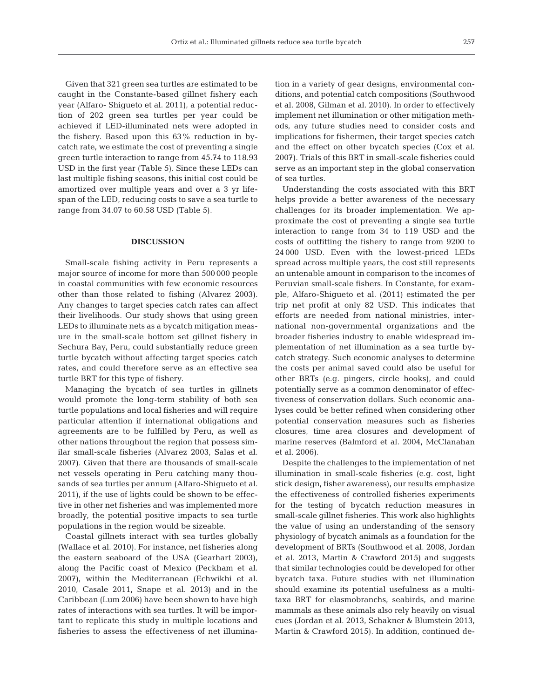Given that 321 green sea turtles are estimated to be caught in the Constante-based gillnet fishery each year (Alfaro- Shigueto et al. 2011), a potential reduction of 202 green sea turtles per year could be achieved if LED-illuminated nets were adopted in the fishery. Based upon this 63% reduction in by catch rate, we estimate the cost of preventing a single green turtle interaction to range from 45.74 to 118.93 USD in the first year (Table 5). Since these LEDs can last multiple fishing seasons, this initial cost could be amortized over multiple years and over a 3 yr lifespan of the LED, reducing costs to save a sea turtle to range from 34.07 to 60.58 USD (Table 5).

## **DISCUSSION**

Small-scale fishing activity in Peru represents a major source of income for more than 500 000 people in coastal communities with few economic resources other than those related to fishing (Alvarez 2003). Any changes to target species catch rates can affect their livelihoods. Our study shows that using green LEDs to illuminate nets as a bycatch mitigation measure in the small-scale bottom set gillnet fishery in Sechura Bay, Peru, could substantially reduce green turtle bycatch without affecting target species catch rates, and could therefore serve as an effective sea turtle BRT for this type of fishery.

Managing the bycatch of sea turtles in gillnets would promote the long-term stability of both sea turtle populations and local fisheries and will require particular attention if international obligations and agreements are to be fulfilled by Peru, as well as other nations throughout the region that possess similar small-scale fisheries (Alvarez 2003, Salas et al. 2007). Given that there are thousands of small-scale net vessels operating in Peru catching many thousands of sea turtles per annum (Alfaro-Shigueto et al. 2011), if the use of lights could be shown to be effective in other net fisheries and was implemented more broadly, the potential positive impacts to sea turtle populations in the region would be sizeable.

Coastal gillnets interact with sea turtles globally (Wallace et al. 2010). For instance, net fisheries along the eastern seaboard of the USA (Gearhart 2003), along the Pacific coast of Mexico (Peckham et al. 2007), within the Mediterranean (Echwikhi et al. 2010, Casale 2011, Snape et al. 2013) and in the Carib bean (Lum 2006) have been shown to have high rates of interactions with sea turtles. It will be important to replicate this study in multiple locations and fisheries to assess the effectiveness of net illumination in a variety of gear designs, environmental conditions, and potential catch compositions (Southwood et al. 2008, Gilman et al. 2010). In order to effectively implement net illumination or other mitigation methods, any future studies need to consider costs and implications for fishermen, their target species catch and the effect on other bycatch species (Cox et al. 2007). Trials of this BRT in small-scale fisheries could serve as an important step in the global conservation of sea turtles.

Understanding the costs associated with this BRT helps provide a better awareness of the necessary challenges for its broader implementation. We approximate the cost of preventing a single sea turtle interaction to range from 34 to 119 USD and the costs of outfitting the fishery to range from 9200 to 24 000 USD. Even with the lowest-priced LEDs spread across multiple years, the cost still represents an untenable amount in comparison to the incomes of Peruvian small-scale fishers. In Constante, for example, Alfaro-Shigueto et al. (2011) estimated the per trip net profit at only 82 USD. This indicates that efforts are needed from national ministries, international non-governmental organizations and the broader fisheries industry to enable widespread im plementation of net illumination as a sea turtle by catch strategy. Such economic analyses to determine the costs per animal saved could also be useful for other BRTs (e.g. pingers, circle hooks), and could potentially serve as a common denominator of effectiveness of conservation dollars. Such economic ana lyses could be better refined when considering other potential conservation measures such as fisheries closures, time area closures and development of marine reserves (Balmford et al. 2004, McClanahan et al. 2006).

Despite the challenges to the implementation of net illumination in small-scale fisheries (e.g. cost, light stick design, fisher awareness), our results emphasize the effectiveness of controlled fisheries experiments for the testing of bycatch reduction measures in small-scale gillnet fisheries. This work also highlights the value of using an understanding of the sensory physiology of bycatch animals as a foundation for the development of BRTs (Southwood et al. 2008, Jordan et al. 2013, Martin & Crawford 2015) and suggests that similar technologies could be developed for other bycatch taxa. Future studies with net illumination should examine its potential usefulness as a multitaxa BRT for elasmobranchs, seabirds, and marine mammals as these animals also rely heavily on visual cues (Jordan et al. 2013, Schakner & Blumstein 2013, Martin & Crawford 2015). In addition, continued de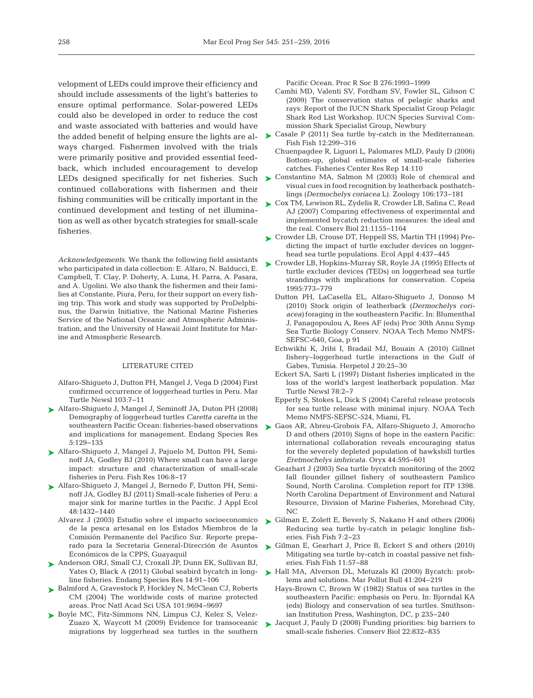velopment of LEDs could improve their efficiency and should include assessments of the light's batteries to ensure optimal performance. Solar-powered LEDs could also be developed in order to reduce the cost and waste associated with batteries and would have the added benefit of helping ensure the lights are always charged. Fishermen involved with the trials were primarily positive and provided essential feedback, which included encouragement to develop LEDs designed specifically for net fisheries. Such continued collaborations with fishermen and their fishing communities will be critically important in the continued development and testing of net illumination as well as other bycatch strategies for small-scale fisheries.

*Acknowledgements*. We thank the following field assistants who participated in data collection: E. Alfaro, N. Balducci, E. Campbell, T. Clay, P. Doherty, A. Luna, H. Parra, A. Pasara, and A. Ugolini. We also thank the fishermen and their families at Constante, Piura, Peru, for their support on every fishing trip. This work and study was supported by ProDelphinus, the Darwin Initiative, the National Marine Fisheries Service of the National Oceanic and Atmospheric Administration, and the University of Hawaii Joint Institute for Marine and Atmospheric Research.

#### LITERATURE CITED

- Alfaro-Shigueto J, Dutton PH, Mangel J, Vega D (2004) First confirmed occurrence of loggerhead turtles in Peru. Mar Turtle Newsl 103:7-11
- [Alfaro-Shigueto J, Mangel J, Seminoff JA, Duton PH \(2008\)](http://dx.doi.org/10.3354/esr00142) ➤ Demography of loggerhead turtles *Caretta caretta* in the southeastern Pacific Ocean: fisheries-based observations and implications for management. Endang Species Res 5: 129−135
- [Alfaro-Shigueto J, Mangel J, Pajuelo M, Dutton PH, Semi-](http://dx.doi.org/10.1016/j.fishres.2010.06.004)➤ noff JA, Godley BJ (2010) Where small can have a large impact: structure and characterization of small-scale fisheries in Peru. Fish Res 106:8-17
- [Alfaro-Shigueto J, Mangel J, Bernedo F, Dutton PH, Semi-](http://dx.doi.org/10.1111/j.1365-2664.2011.02040.x)➤ noff JA, Godley BJ (2011) Small-scale fisheries of Peru:a major sink for marine turtles in the Pacific. J Appl Ecol 48: 1432−1440
	- Alvarez J (2003) Estudio sobre el impacto socioeconomico de la pesca artesanal en los Estados Miembros de la Comisión Permanente del Pacífico Sur. Reporte preparado para la Secretaria General-Dirección de Asuntos Económicos de la CPPS, Guayaquil
- ▶ [Anderson ORJ, Small CJ, Croxall JP, Dunn EK, Sullivan BJ,](http://dx.doi.org/10.3354/esr00347) Yates O, Black A (2011) Global seabird bycatch in longline fisheries. Endang Species Res 14:91-106
- ► [Balmford A, Gravestock P, Hockley N, McClean CJ, Roberts](http://dx.doi.org/10.1073/pnas.0403239101) CM (2004) The worldwide costs of marine protected areas. Proc Natl Acad Sci USA 101: 9694−9697
- ▶ [Boyle MC, Fitz-Simmons NN, Limpus CJ, Kelez S, Velez-](http://dx.doi.org/10.1098/rspb.2008.1931)Zuazo X, Waycott M (2009) Evidence for transoceanic migrations by loggerhead sea turtles in the southern

Pacific Ocean. Proc R Soc B 276: 1993−1999

- Camhi MD, Valenti SV, Fordham SV, Fowler SL, Gibson C (2009) The conservation status of pelagic sharks and rays: Report of the IUCN Shark Specialist Group Pelagic Shark Red List Workshop. IUCN Species Survival Commission Shark Specialist Group, Newbury
- ► [Casale P \(2011\) Sea turtle by-catch in the Mediterranean.](http://dx.doi.org/10.1111/j.1467-2979.2010.00394.x) Fish Fish 12: 299−316
	- Chuenpagdee R, Liguori L, Palomares MLD, Pauly D (2006) Bottom-up, global estimates of small-scale fisheries catches. Fisheries Center Res Rep 14: 110
- ▶ [Constantino MA, Salmon M \(2003\) Role of chemical and](http://dx.doi.org/10.1078/0944-2006-00114) visual cues in food recognition by leatherback posthatchlings *(Dermochelys coriacea* L). Zoology 106: 173−181
- [Cox TM, Lewison RL, Zydelis R, Crowder LB, Safina C, Read](http://dx.doi.org/10.1111/j.1523-1739.2007.00772.x) ➤ AJ (2007) Comparing effectiveness of experimental and implemented bycatch reduction measures: the ideal and the real. Conserv Biol 21: 1155−1164
- [Crowder LB, Crouse DT, Heppell SS, Martin TH \(1994\) Pre-](http://dx.doi.org/10.2307/1941948)➤ dicting the impact of turtle excluder devices on loggerhead sea turtle populations. Ecol Appl 4:437-445
- [Crowder LB, Hopkins-Murray SR, Royle JA \(1995\) Effects of](http://dx.doi.org/10.2307/1447026) ➤ turtle excluder devices (TEDs) on loggerhead sea turtle strandings with implications for conservation. Copeia 1995: 773−779
	- Dutton PH, LaCasella EL, Alfaro-Shigueto J, Donoso M (2010) Stock origin of leatherback *(Dermochelys cori*acea) foraging in the southeastern Pacific. In: Blumenthal J, Panagopoulou A, Rees AF (eds) Proc 30th Annu Symp Sea Turtle Biology Conserv. NOAA Tech Memo NMFS-SEFSC-640, Goa, p 91
	- Echwikhi K, Jribi I, Bradail MJ, Bouain A (2010) Gillnet fishery−loggerhead turtle interactions in the Gulf of Gabes, Tunisia. Herpetol J 20:25-30
	- Eckert SA, Sarti L (1997) Distant fisheries implicated in the loss of the world's largest leatherback population. Mar Turtle Newsl 78:2-7
	- Epperly S, Stokes L, Dick S (2004) Careful release protocols for sea turtle release with minimal injury. NOAA Tech Memo NMFS-SEFSC-524, Miami, FL
- ► [Gaos AR, Abreu-Grobois FA, Alfaro-Shigueto J, Amorocho](http://dx.doi.org/10.1017/S0030605310000773) D and others (2010) Signs of hope in the eastern Pacific: international collaboration reveals encouraging status for the severely depleted population of hawksbill turtles *Eretmochelys imbricata.* Oryx 44: 595−601
	- Gearhart J (2003) Sea turtle bycatch monitoring of the 2002 fall flounder gillnet fishery of southeastern Pamlico Sound, North Carolina. Completion report for ITP 1398. North Carolina Department of Environment and Natural Resource, Division of Marine Fisheries, Morehead City, NC
- ► [Gilman E, Zolett E, Beverly S, Nakano H and others \(2006\)](http://dx.doi.org/10.1111/j.1467-2979.2006.00196.x) Reducing sea turtle by-catch in pelagic longline fisheries. Fish Fish 7:2-23
- ► [Gilman E, Gearhart J, Price B, Eckert S and others \(2010\)](http://dx.doi.org/10.1111/j.1467-2979.2009.00342.x) Mitigating sea turtle by-catch in coastal passive net fisheries. Fish Fish 11:57-88
- ► Hall MA, Alverson DL, Metuzals KI (2000) Bycatch: problems and solutions. Mar Pollut Bull 41:204-219
	- Hays-Brown C, Brown W (1982) Status of sea turtles in the southeastern Pacific: emphasis on Peru. In: Bjorndal KA (eds) Biology and conservation of sea turtles. Smithsonian Institution Press, Washington, DC, p 235−240
- ▶ Jacquet J, Pauly D (2008) Funding priorities: big barriers to small-scale fisheries. Conserv Biol 22:832-835